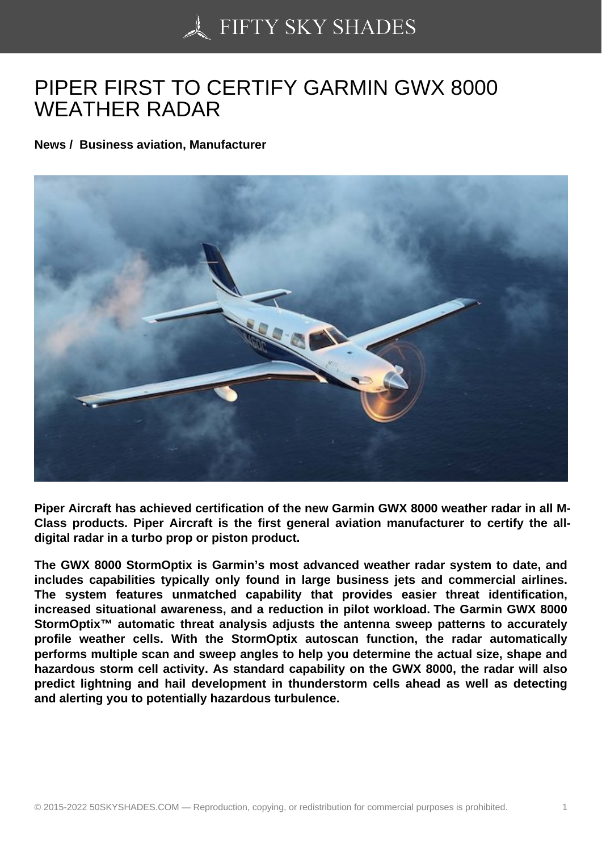## [PIPER FIRST TO CER](https://50skyshades.com)TIFY GARMIN GWX 8000 WEATHER RADAR

News / Business aviation, Manufacturer

Piper Aircraft has achieved certification of the new Garmin GWX 8000 weather radar in all M-Class products. Piper Aircraft is the first general aviation manufacturer to certify the alldigital radar in a turbo prop or piston product.

The GWX 8000 StormOptix is Garmin's most advanced weather radar system to date, and includes capabilities typically only found in large business jets and commercial airlines. The system features unmatched capability that provides easier threat identification, increased situational awareness, and a reduction in pilot workload. The Garmin GWX 8000 StormOptix<sup>™</sup> automatic threat analysis adjusts the antenna sweep patterns to accurately profile weather cells. With the StormOptix autoscan function, the radar automatically performs multiple scan and sweep angles to help you determine the actual size, shape and hazardous storm cell activity. As standard capability on the GWX 8000, the radar will also predict lightning and hail development in thunderstorm cells ahead as well as detecting and alerting you to potentially hazardous turbulence.